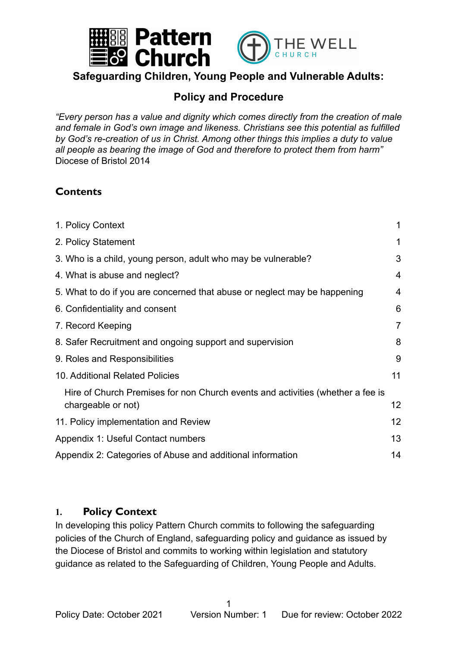

### **Safeguarding Children, Young People and Vulnerable Adults:**

### **Policy and Procedure**

*"Every person has a value and dignity which comes directly from the creation of male and female in God's own image and likeness. Christians see this potential as fulfilled by God's re-creation of us in Christ. Among other things this implies a duty to value all people as bearing the image of God and therefore to protect them from harm"* Diocese of Bristol 2014

## **Contents**

| 1. Policy Context                                                              | 1                 |
|--------------------------------------------------------------------------------|-------------------|
| 2. Policy Statement                                                            | 1                 |
| 3. Who is a child, young person, adult who may be vulnerable?                  | 3                 |
| 4. What is abuse and neglect?                                                  | 4                 |
| 5. What to do if you are concerned that abuse or neglect may be happening      | 4                 |
| 6. Confidentiality and consent                                                 | 6                 |
| 7. Record Keeping                                                              | 7                 |
| 8. Safer Recruitment and ongoing support and supervision                       | 8                 |
| 9. Roles and Responsibilities                                                  | 9                 |
| 10. Additional Related Policies                                                | 11                |
| Hire of Church Premises for non Church events and activities (whether a fee is |                   |
| chargeable or not)                                                             | 12                |
| 11. Policy implementation and Review                                           | $12 \overline{ }$ |
| Appendix 1: Useful Contact numbers                                             | 13                |
| Appendix 2: Categories of Abuse and additional information                     | 14                |
|                                                                                |                   |

### <span id="page-0-0"></span>**1. Policy Context**

In developing this policy Pattern Church commits to following the safeguarding policies of the Church of England, safeguarding policy and guidance as issued by the Diocese of Bristol and commits to working within legislation and statutory guidance as related to the Safeguarding of Children, Young People and Adults.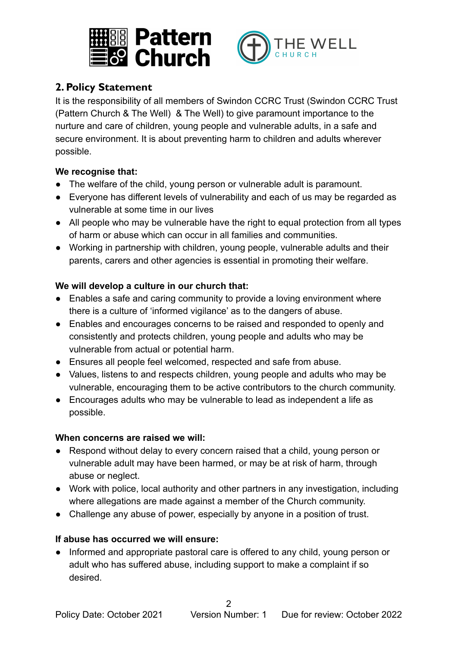



## <span id="page-1-0"></span>**2. Policy Statement**

It is the responsibility of all members of Swindon CCRC Trust (Swindon CCRC Trust (Pattern Church & The Well) & The Well) to give paramount importance to the nurture and care of children, young people and vulnerable adults, in a safe and secure environment. It is about preventing harm to children and adults wherever possible.

#### **We recognise that:**

- The welfare of the child, young person or vulnerable adult is paramount.
- Everyone has different levels of vulnerability and each of us may be regarded as vulnerable at some time in our lives
- All people who may be vulnerable have the right to equal protection from all types of harm or abuse which can occur in all families and communities.
- Working in partnership with children, young people, vulnerable adults and their parents, carers and other agencies is essential in promoting their welfare.

#### **We will develop a culture in our church that:**

- Enables a safe and caring community to provide a loving environment where there is a culture of 'informed vigilance' as to the dangers of abuse.
- Enables and encourages concerns to be raised and responded to openly and consistently and protects children, young people and adults who may be vulnerable from actual or potential harm.
- Ensures all people feel welcomed, respected and safe from abuse.
- Values, listens to and respects children, young people and adults who may be vulnerable, encouraging them to be active contributors to the church community.
- Encourages adults who may be vulnerable to lead as independent a life as possible.

#### **When concerns are raised we will:**

- Respond without delay to every concern raised that a child, young person or vulnerable adult may have been harmed, or may be at risk of harm, through abuse or neglect.
- Work with police, local authority and other partners in any investigation, including where allegations are made against a member of the Church community.
- Challenge any abuse of power, especially by anyone in a position of trust.

#### **If abuse has occurred we will ensure:**

● Informed and appropriate pastoral care is offered to any child, young person or adult who has suffered abuse, including support to make a complaint if so desired.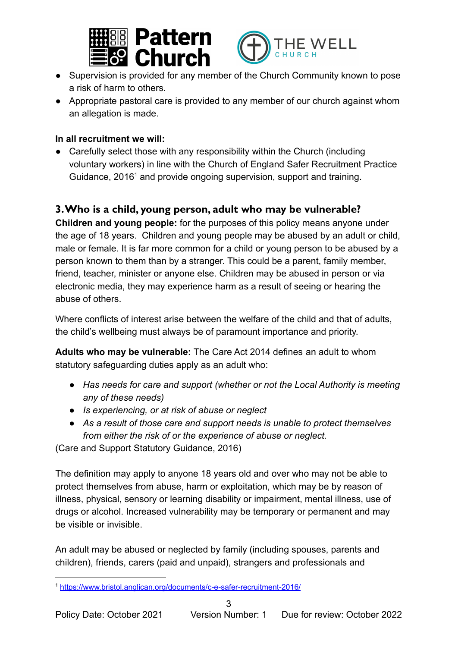



- Supervision is provided for any member of the Church Community known to pose a risk of harm to others.
- Appropriate pastoral care is provided to any member of our church against whom an allegation is made.

#### **In all recruitment we will:**

• Carefully select those with any responsibility within the Church (including voluntary workers) in line with the Church of England Safer Recruitment Practice Guidance,  $2016<sup>1</sup>$  and provide ongoing supervision, support and training.

### <span id="page-2-0"></span>**3.Who is a child, young person, adult who may be vulnerable?**

**Children and young people:** for the purposes of this policy means anyone under the age of 18 years. Children and young people may be abused by an adult or child, male or female. It is far more common for a child or young person to be abused by a person known to them than by a stranger. This could be a parent, family member, friend, teacher, minister or anyone else. Children may be abused in person or via electronic media, they may experience harm as a result of seeing or hearing the abuse of others.

Where conflicts of interest arise between the welfare of the child and that of adults, the child's wellbeing must always be of paramount importance and priority.

**Adults who may be vulnerable:** The Care Act 2014 defines an adult to whom statutory safeguarding duties apply as an adult who:

- *● Has needs for care and support (whether or not the Local Authority is meeting any of these needs)*
- *● Is experiencing, or at risk of abuse or neglect*
- *● As a result of those care and support needs is unable to protect themselves from either the risk of or the experience of abuse or neglect.*

(Care and Support Statutory Guidance, 2016)

The definition may apply to anyone 18 years old and over who may not be able to protect themselves from abuse, harm or exploitation, which may be by reason of illness, physical, sensory or learning disability or impairment, mental illness, use of drugs or alcohol. Increased vulnerability may be temporary or permanent and may be visible or invisible.

An adult may be abused or neglected by family (including spouses, parents and children), friends, carers (paid and unpaid), strangers and professionals and

<sup>1</sup> <https://www.bristol.anglican.org/documents/c-e-safer-recruitment-2016/>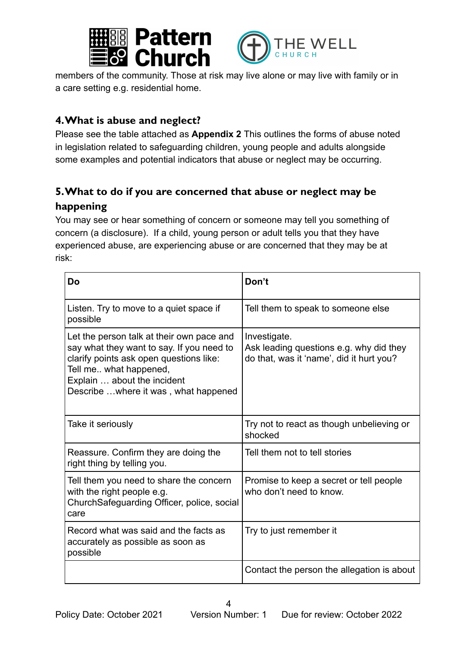



members of the community. Those at risk may live alone or may live with family or in a care setting e.g. residential home.

### <span id="page-3-0"></span>**4.What is abuse and neglect?**

Please see the table attached as **Appendix 2** This outlines the forms of abuse noted in legislation related to safeguarding children, young people and adults alongside some examples and potential indicators that abuse or neglect may be occurring.

## <span id="page-3-1"></span>**5.What to do if you are concerned that abuse or neglect may be happening**

You may see or hear something of concern or someone may tell you something of concern (a disclosure). If a child, young person or adult tells you that they have experienced abuse, are experiencing abuse or are concerned that they may be at risk:

| Do                                                                                                                                                                                                                                  | Don't                                                                                               |
|-------------------------------------------------------------------------------------------------------------------------------------------------------------------------------------------------------------------------------------|-----------------------------------------------------------------------------------------------------|
| Listen. Try to move to a quiet space if<br>possible                                                                                                                                                                                 | Tell them to speak to someone else                                                                  |
| Let the person talk at their own pace and<br>say what they want to say. If you need to<br>clarify points ask open questions like:<br>Tell me what happened,<br>Explain  about the incident<br>Describe  where it was, what happened | Investigate.<br>Ask leading questions e.g. why did they<br>do that, was it 'name', did it hurt you? |
| Take it seriously                                                                                                                                                                                                                   | Try not to react as though unbelieving or<br>shocked                                                |
| Reassure. Confirm they are doing the<br>right thing by telling you.                                                                                                                                                                 | Tell them not to tell stories                                                                       |
| Tell them you need to share the concern<br>with the right people e.g.<br>ChurchSafeguarding Officer, police, social<br>care                                                                                                         | Promise to keep a secret or tell people<br>who don't need to know.                                  |
| Record what was said and the facts as<br>accurately as possible as soon as<br>possible                                                                                                                                              | Try to just remember it                                                                             |
|                                                                                                                                                                                                                                     | Contact the person the allegation is about                                                          |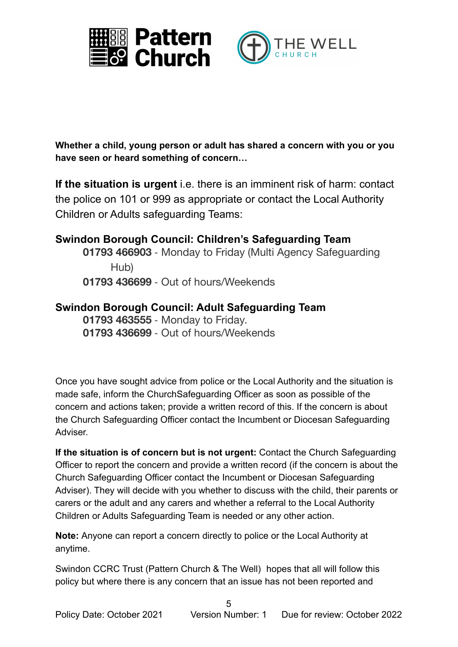



**Whether a child, young person or adult has shared a concern with you or you have seen or heard something of concern…**

**If the situation is urgent** i.e. there is an imminent risk of harm: contact the police on 101 or 999 as appropriate or contact the Local Authority Children or Adults safeguarding Teams:

**Swindon Borough Council: Children's Safeguarding Team 01793 466903** ‐ Monday to Friday (Multi Agency Safeguarding Hub) **01793 436699** ‐ Out of hours/Weekends

#### **Swindon Borough Council: Adult Safeguarding Team 01793 463555** ‐ Monday to Friday. **01793 436699** ‐ Out of hours/Weekends

Once you have sought advice from police or the Local Authority and the situation is made safe, inform the ChurchSafeguarding Officer as soon as possible of the concern and actions taken; provide a written record of this. If the concern is about the Church Safeguarding Officer contact the Incumbent or Diocesan Safeguarding Adviser.

**If the situation is of concern but is not urgent:** Contact the Church Safeguarding Officer to report the concern and provide a written record (if the concern is about the Church Safeguarding Officer contact the Incumbent or Diocesan Safeguarding Adviser). They will decide with you whether to discuss with the child, their parents or carers or the adult and any carers and whether a referral to the Local Authority Children or Adults Safeguarding Team is needed or any other action.

**Note:** Anyone can report a concern directly to police or the Local Authority at anytime.

Swindon CCRC Trust (Pattern Church & The Well) hopes that all will follow this policy but where there is any concern that an issue has not been reported and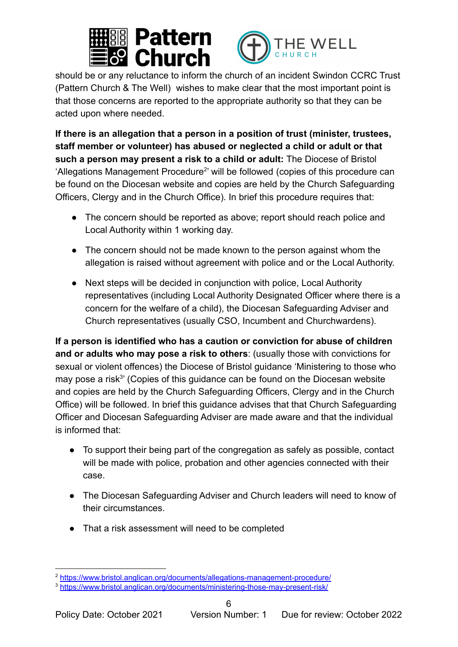



should be or any reluctance to inform the church of an incident Swindon CCRC Trust (Pattern Church & The Well) wishes to make clear that the most important point is that those concerns are reported to the appropriate authority so that they can be acted upon where needed.

**If there is an allegation that a person in a position of trust (minister, trustees, staff member or volunteer) has abused or neglected a child or adult or that such a person may present a risk to a child or adult:** The Diocese of Bristol 'Allegations Management Procedure<sup>2</sup>' will be followed (copies of this procedure can be found on the Diocesan website and copies are held by the Church Safeguarding Officers, Clergy and in the Church Office). In brief this procedure requires that:

- The concern should be reported as above; report should reach police and Local Authority within 1 working day.
- The concern should not be made known to the person against whom the allegation is raised without agreement with police and or the Local Authority.
- Next steps will be decided in conjunction with police, Local Authority representatives (including Local Authority Designated Officer where there is a concern for the welfare of a child), the Diocesan Safeguarding Adviser and Church representatives (usually CSO, Incumbent and Churchwardens).

**If a person is identified who has a caution or conviction for abuse of children and or adults who may pose a risk to others**: (usually those with convictions for sexual or violent offences) the Diocese of Bristol guidance 'Ministering to those who may pose a risk<sup>3</sup> (Copies of this guidance can be found on the Diocesan website and copies are held by the Church Safeguarding Officers, Clergy and in the Church Office) will be followed. In brief this guidance advises that that Church Safeguarding Officer and Diocesan Safeguarding Adviser are made aware and that the individual is informed that:

- To support their being part of the congregation as safely as possible, contact will be made with police, probation and other agencies connected with their case.
- The Diocesan Safeguarding Adviser and Church leaders will need to know of their circumstances.
- That a risk assessment will need to be completed

<sup>2</sup> <https://www.bristol.anglican.org/documents/allegations-management-procedure/>

<sup>3</sup> <https://www.bristol.anglican.org/documents/ministering-those-may-present-risk/>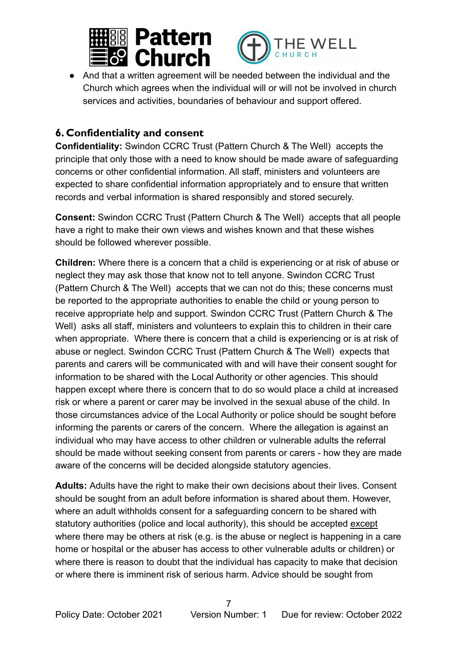



• And that a written agreement will be needed between the individual and the Church which agrees when the individual will or will not be involved in church services and activities, boundaries of behaviour and support offered.

## <span id="page-6-0"></span>**6. Confidentiality and consent**

**Confidentiality:** Swindon CCRC Trust (Pattern Church & The Well) accepts the principle that only those with a need to know should be made aware of safeguarding concerns or other confidential information. All staff, ministers and volunteers are expected to share confidential information appropriately and to ensure that written records and verbal information is shared responsibly and stored securely.

**Consent:** Swindon CCRC Trust (Pattern Church & The Well) accepts that all people have a right to make their own views and wishes known and that these wishes should be followed wherever possible.

**Children:** Where there is a concern that a child is experiencing or at risk of abuse or neglect they may ask those that know not to tell anyone. Swindon CCRC Trust (Pattern Church & The Well) accepts that we can not do this; these concerns must be reported to the appropriate authorities to enable the child or young person to receive appropriate help and support. Swindon CCRC Trust (Pattern Church & The Well) asks all staff, ministers and volunteers to explain this to children in their care when appropriate. Where there is concern that a child is experiencing or is at risk of abuse or neglect. Swindon CCRC Trust (Pattern Church & The Well) expects that parents and carers will be communicated with and will have their consent sought for information to be shared with the Local Authority or other agencies. This should happen except where there is concern that to do so would place a child at increased risk or where a parent or carer may be involved in the sexual abuse of the child. In those circumstances advice of the Local Authority or police should be sought before informing the parents or carers of the concern. Where the allegation is against an individual who may have access to other children or vulnerable adults the referral should be made without seeking consent from parents or carers - how they are made aware of the concerns will be decided alongside statutory agencies.

**Adults:** Adults have the right to make their own decisions about their lives. Consent should be sought from an adult before information is shared about them. However, where an adult withholds consent for a safeguarding concern to be shared with statutory authorities (police and local authority), this should be accepted except where there may be others at risk (e.g. is the abuse or neglect is happening in a care home or hospital or the abuser has access to other vulnerable adults or children) or where there is reason to doubt that the individual has capacity to make that decision or where there is imminent risk of serious harm. Advice should be sought from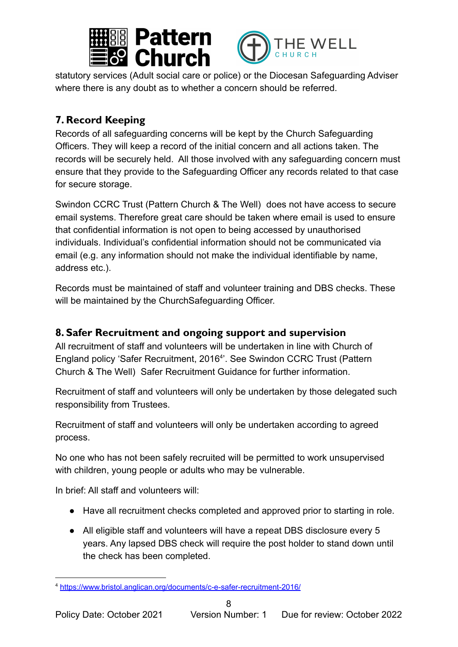



statutory services (Adult social care or police) or the Diocesan Safeguarding Adviser where there is any doubt as to whether a concern should be referred.

# <span id="page-7-0"></span>**7. Record Keeping**

Records of all safeguarding concerns will be kept by the Church Safeguarding Officers. They will keep a record of the initial concern and all actions taken. The records will be securely held. All those involved with any safeguarding concern must ensure that they provide to the Safeguarding Officer any records related to that case for secure storage.

Swindon CCRC Trust (Pattern Church & The Well) does not have access to secure email systems. Therefore great care should be taken where email is used to ensure that confidential information is not open to being accessed by unauthorised individuals. Individual's confidential information should not be communicated via email (e.g. any information should not make the individual identifiable by name, address etc.).

Records must be maintained of staff and volunteer training and DBS checks. These will be maintained by the ChurchSafeguarding Officer.

## <span id="page-7-1"></span>**8. Safer Recruitment and ongoing support and supervision**

All recruitment of staff and volunteers will be undertaken in line with Church of England policy 'Safer Recruitment, 2016<sup>4</sup>'. See Swindon CCRC Trust (Pattern Church & The Well) Safer Recruitment Guidance for further information.

Recruitment of staff and volunteers will only be undertaken by those delegated such responsibility from Trustees.

Recruitment of staff and volunteers will only be undertaken according to agreed process.

No one who has not been safely recruited will be permitted to work unsupervised with children, young people or adults who may be vulnerable.

In brief: All staff and volunteers will:

- Have all recruitment checks completed and approved prior to starting in role.
- All eligible staff and volunteers will have a repeat DBS disclosure every 5 years. Any lapsed DBS check will require the post holder to stand down until the check has been completed.

<sup>4</sup> <https://www.bristol.anglican.org/documents/c-e-safer-recruitment-2016/>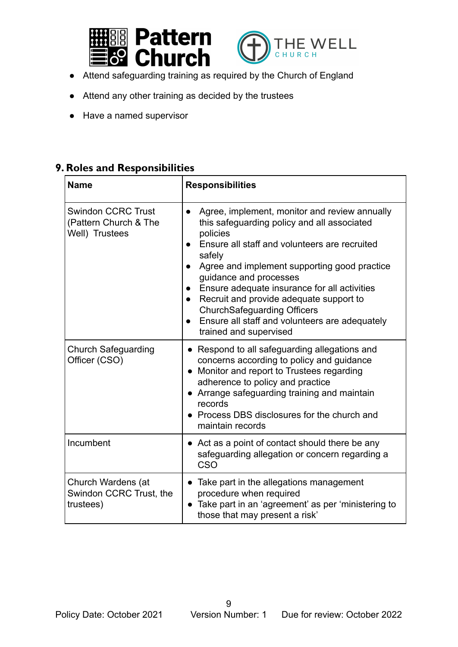



- Attend safeguarding training as required by the Church of England
- Attend any other training as decided by the trustees
- Have a named supervisor

### <span id="page-8-0"></span>**9. Roles and Responsibilities**

| <b>Name</b>                                                          | <b>Responsibilities</b>                                                                                                                                                                                                                                                                                                                                                                                                                                                                                        |
|----------------------------------------------------------------------|----------------------------------------------------------------------------------------------------------------------------------------------------------------------------------------------------------------------------------------------------------------------------------------------------------------------------------------------------------------------------------------------------------------------------------------------------------------------------------------------------------------|
| <b>Swindon CCRC Trust</b><br>(Pattern Church & The<br>Well) Trustees | Agree, implement, monitor and review annually<br>$\bullet$<br>this safeguarding policy and all associated<br>policies<br>Ensure all staff and volunteers are recruited<br>safely<br>Agree and implement supporting good practice<br>guidance and processes<br>Ensure adequate insurance for all activities<br>$\bullet$<br>Recruit and provide adequate support to<br>$\bullet$<br><b>ChurchSafeguarding Officers</b><br>Ensure all staff and volunteers are adequately<br>$\bullet$<br>trained and supervised |
| <b>Church Safeguarding</b><br>Officer (CSO)                          | • Respond to all safeguarding allegations and<br>concerns according to policy and guidance<br>• Monitor and report to Trustees regarding<br>adherence to policy and practice<br>Arrange safeguarding training and maintain<br>records<br>• Process DBS disclosures for the church and<br>maintain records                                                                                                                                                                                                      |
| Incumbent                                                            | • Act as a point of contact should there be any<br>safeguarding allegation or concern regarding a<br>CSO                                                                                                                                                                                                                                                                                                                                                                                                       |
| Church Wardens (at<br>Swindon CCRC Trust, the<br>trustees)           | Take part in the allegations management<br>$\bullet$<br>procedure when required<br>Take part in an 'agreement' as per 'ministering to<br>those that may present a risk'                                                                                                                                                                                                                                                                                                                                        |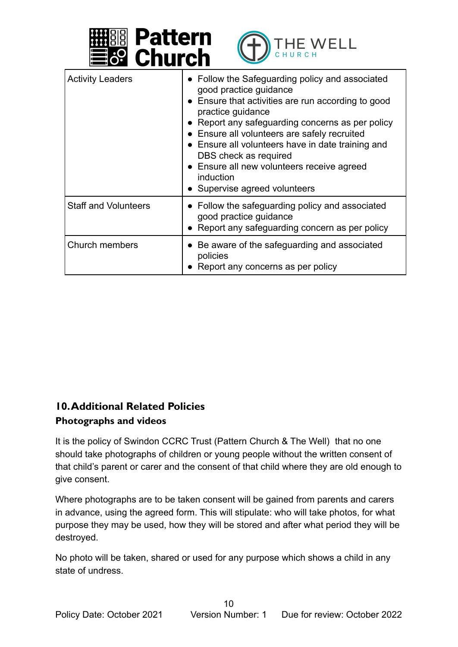



| <b>Activity Leaders</b>     | • Follow the Safeguarding policy and associated<br>good practice guidance<br>• Ensure that activities are run according to good<br>practice guidance<br>• Report any safeguarding concerns as per policy<br>• Ensure all volunteers are safely recruited<br>• Ensure all volunteers have in date training and<br>DBS check as required<br>• Ensure all new volunteers receive agreed<br>induction<br>• Supervise agreed volunteers |
|-----------------------------|------------------------------------------------------------------------------------------------------------------------------------------------------------------------------------------------------------------------------------------------------------------------------------------------------------------------------------------------------------------------------------------------------------------------------------|
| <b>Staff and Volunteers</b> | • Follow the safeguarding policy and associated<br>good practice guidance<br>• Report any safeguarding concern as per policy                                                                                                                                                                                                                                                                                                       |
| Church members              | • Be aware of the safeguarding and associated<br>policies<br>• Report any concerns as per policy                                                                                                                                                                                                                                                                                                                                   |

## <span id="page-9-0"></span>**10.Additional Related Policies Photographs and videos**

It is the policy of Swindon CCRC Trust (Pattern Church & The Well) that no one should take photographs of children or young people without the written consent of that child's parent or carer and the consent of that child where they are old enough to give consent.

Where photographs are to be taken consent will be gained from parents and carers in advance, using the agreed form. This will stipulate: who will take photos, for what purpose they may be used, how they will be stored and after what period they will be destroyed.

No photo will be taken, shared or used for any purpose which shows a child in any state of undress.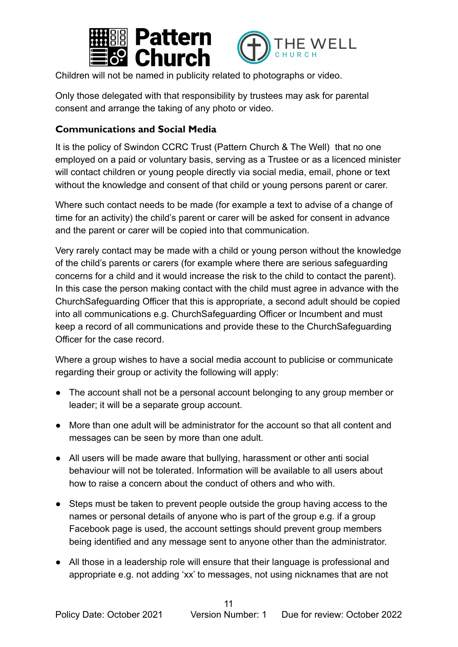



Children will not be named in publicity related to photographs or video.

Only those delegated with that responsibility by trustees may ask for parental consent and arrange the taking of any photo or video.

#### **Communications and Social Media**

It is the policy of Swindon CCRC Trust (Pattern Church & The Well) that no one employed on a paid or voluntary basis, serving as a Trustee or as a licenced minister will contact children or young people directly via social media, email, phone or text without the knowledge and consent of that child or young persons parent or carer.

Where such contact needs to be made (for example a text to advise of a change of time for an activity) the child's parent or carer will be asked for consent in advance and the parent or carer will be copied into that communication.

Very rarely contact may be made with a child or young person without the knowledge of the child's parents or carers (for example where there are serious safeguarding concerns for a child and it would increase the risk to the child to contact the parent). In this case the person making contact with the child must agree in advance with the ChurchSafeguarding Officer that this is appropriate, a second adult should be copied into all communications e.g. ChurchSafeguarding Officer or Incumbent and must keep a record of all communications and provide these to the ChurchSafeguarding Officer for the case record.

Where a group wishes to have a social media account to publicise or communicate regarding their group or activity the following will apply:

- The account shall not be a personal account belonging to any group member or leader; it will be a separate group account.
- More than one adult will be administrator for the account so that all content and messages can be seen by more than one adult.
- All users will be made aware that bullying, harassment or other anti social behaviour will not be tolerated. Information will be available to all users about how to raise a concern about the conduct of others and who with.
- Steps must be taken to prevent people outside the group having access to the names or personal details of anyone who is part of the group e.g. if a group Facebook page is used, the account settings should prevent group members being identified and any message sent to anyone other than the administrator.
- All those in a leadership role will ensure that their language is professional and appropriate e.g. not adding 'xx' to messages, not using nicknames that are not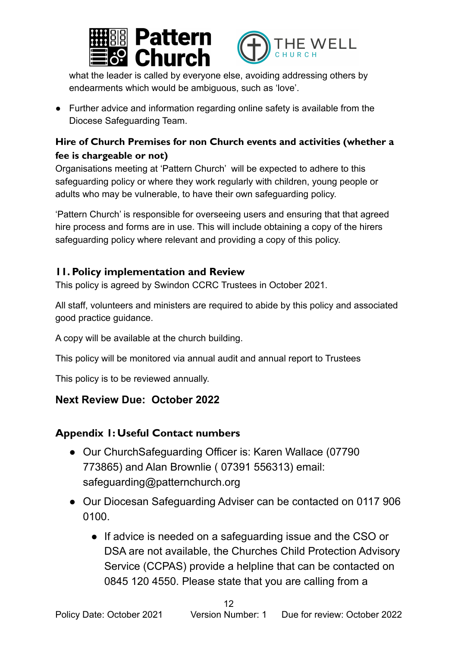



what the leader is called by everyone else, avoiding addressing others by endearments which would be ambiguous, such as 'love'.

● Further advice and information regarding online safety is available from the Diocese Safeguarding Team.

### <span id="page-11-0"></span>**Hire of Church Premises for non Church events and activities (whether a fee is chargeable or not)**

Organisations meeting at 'Pattern Church' will be expected to adhere to this safeguarding policy or where they work regularly with children, young people or adults who may be vulnerable, to have their own safeguarding policy.

'Pattern Church' is responsible for overseeing users and ensuring that that agreed hire process and forms are in use. This will include obtaining a copy of the hirers safeguarding policy where relevant and providing a copy of this policy.

### <span id="page-11-1"></span>**11. Policy implementation and Review**

This policy is agreed by Swindon CCRC Trustees in October 2021.

All staff, volunteers and ministers are required to abide by this policy and associated good practice guidance.

A copy will be available at the church building.

This policy will be monitored via annual audit and annual report to Trustees

This policy is to be reviewed annually.

# **Next Review Due: October 2022**

## <span id="page-11-2"></span>**Appendix 1: Useful Contact numbers**

- Our ChurchSafeguarding Officer is: Karen Wallace (07790 773865) and Alan Brownlie ( 07391 556313) email: safeguarding@patternchurch.org
- Our Diocesan Safeguarding Adviser can be contacted on 0117 906 0100.
	- If advice is needed on a safeguarding issue and the CSO or DSA are not available, the Churches Child Protection Advisory Service (CCPAS) provide a helpline that can be contacted on 0845 120 4550. Please state that you are calling from a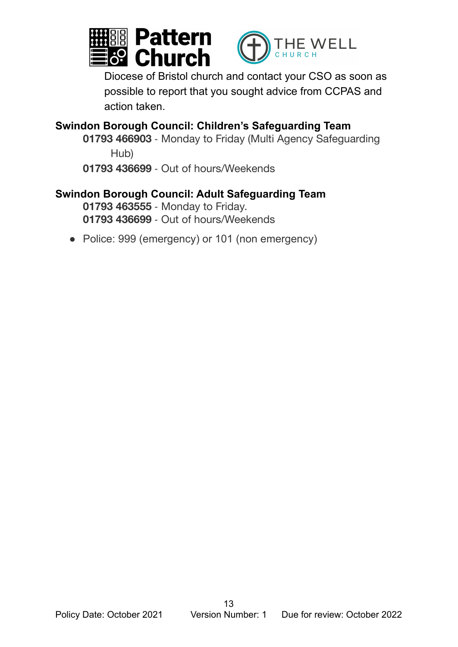



Diocese of Bristol church and contact your CSO as soon as possible to report that you sought advice from CCPAS and action taken.

**Swindon Borough Council: Children's Safeguarding Team 01793 466903** ‐ Monday to Friday (Multi Agency Safeguarding

Hub)

**01793 436699** ‐ Out of hours/Weekends

# **Swindon Borough Council: Adult Safeguarding Team 01793 463555** ‐ Monday to Friday.

**01793 436699** ‐ Out of hours/Weekends

● Police: 999 (emergency) or 101 (non emergency)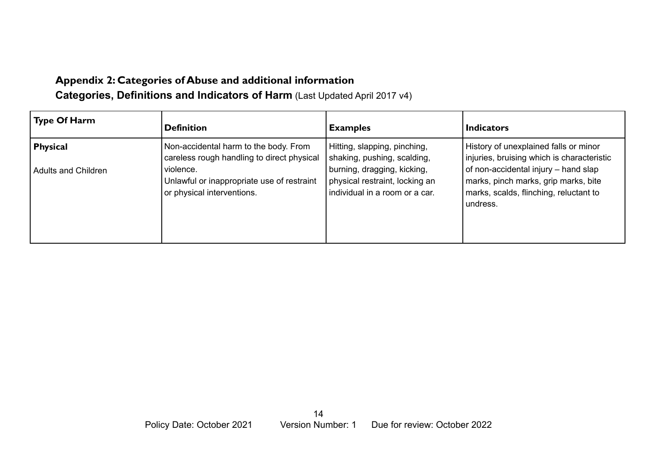# **Appendix 2: Categories of Abuse and additional information Categories, Definitions and Indicators of Harm** (Last Updated April 2017 v4)

<span id="page-13-0"></span>

| <b>Type Of Harm</b>                           | <b>Definition</b>                                                                                                                                                            | <b>Examples</b>                                                                                                                                                | <b>Indicators</b>                                                                                                                                                                                                         |
|-----------------------------------------------|------------------------------------------------------------------------------------------------------------------------------------------------------------------------------|----------------------------------------------------------------------------------------------------------------------------------------------------------------|---------------------------------------------------------------------------------------------------------------------------------------------------------------------------------------------------------------------------|
| <b>Physical</b><br><b>Adults and Children</b> | Non-accidental harm to the body. From<br>careless rough handling to direct physical<br>violence.<br>Unlawful or inappropriate use of restraint<br>or physical interventions. | Hitting, slapping, pinching,<br>shaking, pushing, scalding,<br>burning, dragging, kicking,<br>physical restraint, locking an<br>individual in a room or a car. | History of unexplained falls or minor<br>injuries, bruising which is characteristic<br>of non-accidental injury - hand slap<br>marks, pinch marks, grip marks, bite<br>marks, scalds, flinching, reluctant to<br>undress. |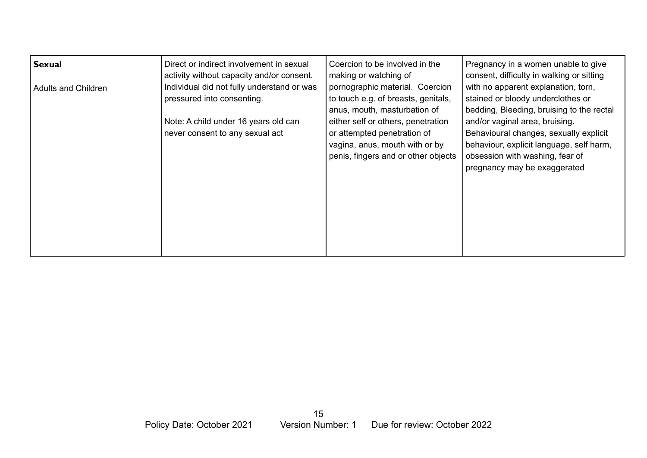| <b>Sexual</b>       | Direct or indirect involvement in sexual<br>activity without capacity and/or consent. | Coercion to be involved in the<br>making or watching of                                                                                    | Pregnancy in a women unable to give<br>consent, difficulty in walking or sitting                                                                                                        |
|---------------------|---------------------------------------------------------------------------------------|--------------------------------------------------------------------------------------------------------------------------------------------|-----------------------------------------------------------------------------------------------------------------------------------------------------------------------------------------|
| Adults and Children | Individual did not fully understand or was<br>pressured into consenting.              | pornographic material. Coercion<br>to touch e.g. of breasts, genitals,<br>anus, mouth, masturbation of                                     | with no apparent explanation, torn,<br>stained or bloody underclothes or<br>bedding, Bleeding, bruising to the rectal                                                                   |
|                     | Note: A child under 16 years old can<br>never consent to any sexual act               | either self or others, penetration<br>or attempted penetration of<br>vagina, anus, mouth with or by<br>penis, fingers and or other objects | and/or vaginal area, bruising.<br>Behavioural changes, sexually explicit<br>behaviour, explicit language, self harm,<br>obsession with washing, fear of<br>pregnancy may be exaggerated |
|                     |                                                                                       |                                                                                                                                            |                                                                                                                                                                                         |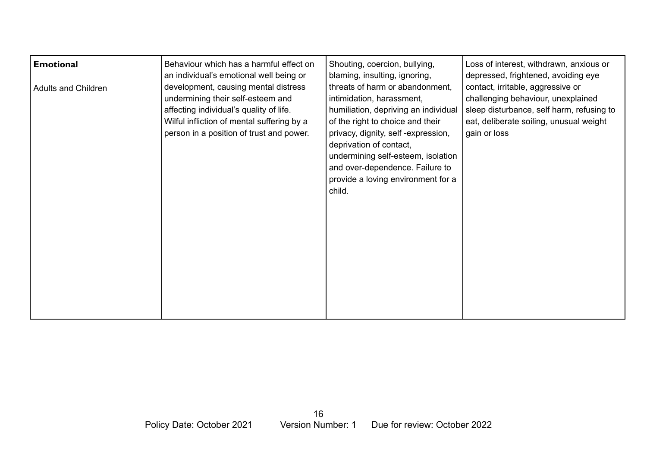| <b>Emotional</b>           | Behaviour which has a harmful effect on                                                                                                                                                                        | Shouting, coercion, bullying,                                                                                                                                                                                                                                                                                                      | Loss of interest, withdrawn, anxious or                                                                                                                                         |
|----------------------------|----------------------------------------------------------------------------------------------------------------------------------------------------------------------------------------------------------------|------------------------------------------------------------------------------------------------------------------------------------------------------------------------------------------------------------------------------------------------------------------------------------------------------------------------------------|---------------------------------------------------------------------------------------------------------------------------------------------------------------------------------|
|                            | an individual's emotional well being or                                                                                                                                                                        | blaming, insulting, ignoring,                                                                                                                                                                                                                                                                                                      | depressed, frightened, avoiding eye                                                                                                                                             |
| <b>Adults and Children</b> | development, causing mental distress<br>undermining their self-esteem and<br>affecting individual's quality of life.<br>Wilful infliction of mental suffering by a<br>person in a position of trust and power. | threats of harm or abandonment,<br>intimidation, harassment,<br>humiliation, depriving an individual<br>of the right to choice and their<br>privacy, dignity, self-expression,<br>deprivation of contact,<br>undermining self-esteem, isolation<br>and over-dependence. Failure to<br>provide a loving environment for a<br>child. | contact, irritable, aggressive or<br>challenging behaviour, unexplained<br>sleep disturbance, self harm, refusing to<br>eat, deliberate soiling, unusual weight<br>gain or loss |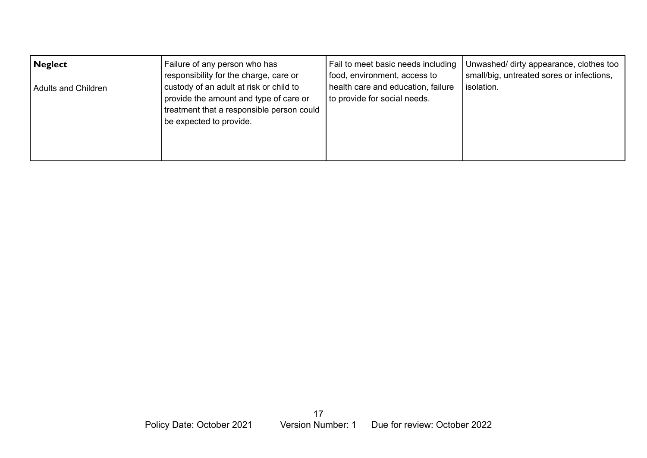| Neglect             | Failure of any person who has                                                                                                                             | Fail to meet basic needs including                                 | Unwashed/ dirty appearance, clothes too   |
|---------------------|-----------------------------------------------------------------------------------------------------------------------------------------------------------|--------------------------------------------------------------------|-------------------------------------------|
|                     | responsibility for the charge, care or                                                                                                                    | food, environment, access to                                       | small/big, untreated sores or infections, |
| Adults and Children | custody of an adult at risk or child to<br>provide the amount and type of care or<br>treatment that a responsible person could<br>be expected to provide. | health care and education, failure<br>to provide for social needs. | isolation.                                |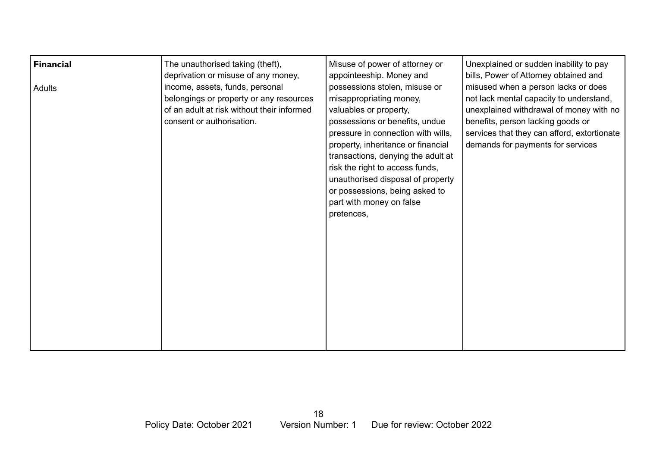| <b>Financial</b><br>Adults | The unauthorised taking (theft),<br>deprivation or misuse of any money,<br>income, assets, funds, personal<br>belongings or property or any resources<br>of an adult at risk without their informed<br>consent or authorisation. | Misuse of power of attorney or<br>appointeeship. Money and<br>possessions stolen, misuse or<br>misappropriating money,<br>valuables or property,<br>possessions or benefits, undue<br>pressure in connection with wills,<br>property, inheritance or financial<br>transactions, denying the adult at<br>risk the right to access funds,<br>unauthorised disposal of property<br>or possessions, being asked to<br>part with money on false<br>pretences, | Unexplained or sudden inability to pay<br>bills, Power of Attorney obtained and<br>misused when a person lacks or does<br>not lack mental capacity to understand,<br>unexplained withdrawal of money with no<br>benefits, person lacking goods or<br>services that they can afford, extortionate<br>demands for payments for services |
|----------------------------|----------------------------------------------------------------------------------------------------------------------------------------------------------------------------------------------------------------------------------|----------------------------------------------------------------------------------------------------------------------------------------------------------------------------------------------------------------------------------------------------------------------------------------------------------------------------------------------------------------------------------------------------------------------------------------------------------|---------------------------------------------------------------------------------------------------------------------------------------------------------------------------------------------------------------------------------------------------------------------------------------------------------------------------------------|
|----------------------------|----------------------------------------------------------------------------------------------------------------------------------------------------------------------------------------------------------------------------------|----------------------------------------------------------------------------------------------------------------------------------------------------------------------------------------------------------------------------------------------------------------------------------------------------------------------------------------------------------------------------------------------------------------------------------------------------------|---------------------------------------------------------------------------------------------------------------------------------------------------------------------------------------------------------------------------------------------------------------------------------------------------------------------------------------|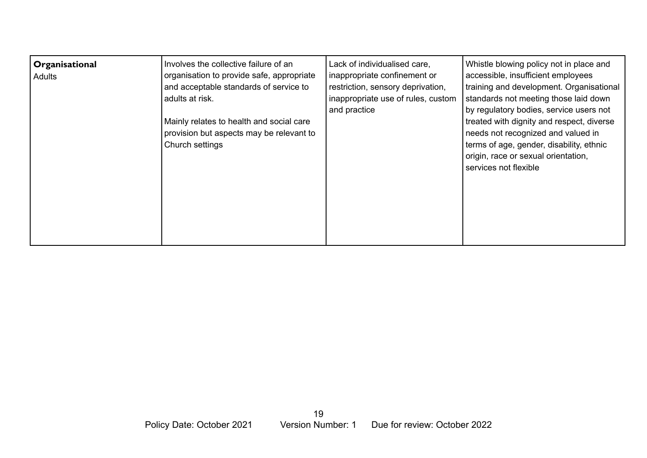| Organisational<br><b>Adults</b> | Involves the collective failure of an<br>organisation to provide safe, appropriate<br>and acceptable standards of service to<br>adults at risk.<br>Mainly relates to health and social care<br>provision but aspects may be relevant to<br>Church settings | Lack of individualised care,<br>inappropriate confinement or<br>restriction, sensory deprivation,<br>inappropriate use of rules, custom<br>and practice | Whistle blowing policy not in place and<br>accessible, insufficient employees<br>training and development. Organisational<br>standards not meeting those laid down<br>by regulatory bodies, service users not<br>treated with dignity and respect, diverse<br>needs not recognized and valued in<br>terms of age, gender, disability, ethnic<br>origin, race or sexual orientation,<br>services not flexible |
|---------------------------------|------------------------------------------------------------------------------------------------------------------------------------------------------------------------------------------------------------------------------------------------------------|---------------------------------------------------------------------------------------------------------------------------------------------------------|--------------------------------------------------------------------------------------------------------------------------------------------------------------------------------------------------------------------------------------------------------------------------------------------------------------------------------------------------------------------------------------------------------------|
|                                 |                                                                                                                                                                                                                                                            |                                                                                                                                                         |                                                                                                                                                                                                                                                                                                                                                                                                              |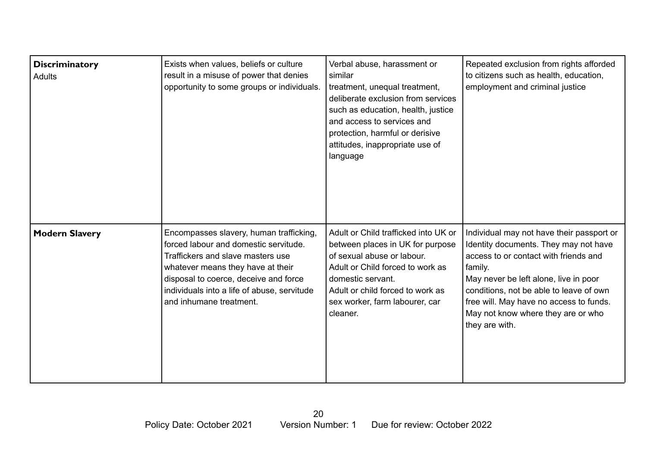| <b>Discriminatory</b><br>Adults | Exists when values, beliefs or culture<br>result in a misuse of power that denies<br>opportunity to some groups or individuals.                                                                                                                                               | Verbal abuse, harassment or<br>similar<br>treatment, unequal treatment,<br>deliberate exclusion from services<br>such as education, health, justice<br>and access to services and<br>protection, harmful or derisive<br>attitudes, inappropriate use of<br>language | Repeated exclusion from rights afforded<br>to citizens such as health, education,<br>employment and criminal justice                                                                                                                                                                                                          |
|---------------------------------|-------------------------------------------------------------------------------------------------------------------------------------------------------------------------------------------------------------------------------------------------------------------------------|---------------------------------------------------------------------------------------------------------------------------------------------------------------------------------------------------------------------------------------------------------------------|-------------------------------------------------------------------------------------------------------------------------------------------------------------------------------------------------------------------------------------------------------------------------------------------------------------------------------|
| <b>Modern Slavery</b>           | Encompasses slavery, human trafficking,<br>forced labour and domestic servitude.<br>Traffickers and slave masters use<br>whatever means they have at their<br>disposal to coerce, deceive and force<br>individuals into a life of abuse, servitude<br>and inhumane treatment. | Adult or Child trafficked into UK or<br>between places in UK for purpose<br>of sexual abuse or labour.<br>Adult or Child forced to work as<br>domestic servant.<br>Adult or child forced to work as<br>sex worker, farm labourer, car<br>cleaner.                   | Individual may not have their passport or<br>Identity documents. They may not have<br>access to or contact with friends and<br>family.<br>May never be left alone, live in poor<br>conditions, not be able to leave of own<br>free will. May have no access to funds.<br>May not know where they are or who<br>they are with. |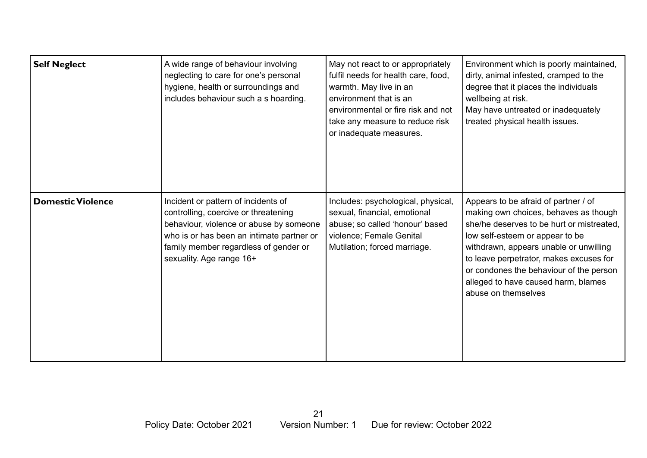| <b>Self Neglect</b>      | A wide range of behaviour involving<br>neglecting to care for one's personal<br>hygiene, health or surroundings and<br>includes behaviour such a s hoarding.                                                                             | May not react to or appropriately<br>fulfil needs for health care, food,<br>warmth. May live in an<br>environment that is an<br>environmental or fire risk and not<br>take any measure to reduce risk<br>or inadequate measures. | Environment which is poorly maintained,<br>dirty, animal infested, cramped to the<br>degree that it places the individuals<br>wellbeing at risk.<br>May have untreated or inadequately<br>treated physical health issues.                                                                                                                                   |
|--------------------------|------------------------------------------------------------------------------------------------------------------------------------------------------------------------------------------------------------------------------------------|----------------------------------------------------------------------------------------------------------------------------------------------------------------------------------------------------------------------------------|-------------------------------------------------------------------------------------------------------------------------------------------------------------------------------------------------------------------------------------------------------------------------------------------------------------------------------------------------------------|
| <b>Domestic Violence</b> | Incident or pattern of incidents of<br>controlling, coercive or threatening<br>behaviour, violence or abuse by someone<br>who is or has been an intimate partner or<br>family member regardless of gender or<br>sexuality. Age range 16+ | Includes: psychological, physical,<br>sexual, financial, emotional<br>abuse; so called 'honour' based<br>violence; Female Genital<br>Mutilation; forced marriage.                                                                | Appears to be afraid of partner / of<br>making own choices, behaves as though<br>she/he deserves to be hurt or mistreated.<br>low self-esteem or appear to be<br>withdrawn, appears unable or unwilling<br>to leave perpetrator, makes excuses for<br>or condones the behaviour of the person<br>alleged to have caused harm, blames<br>abuse on themselves |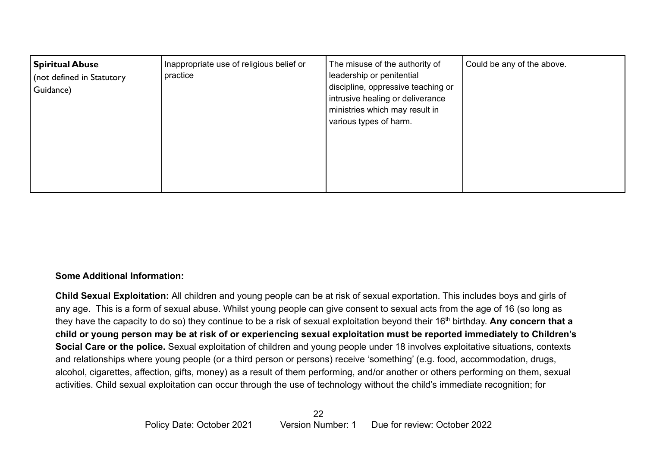| <b>Spiritual Abuse</b><br>(not defined in Statutory<br>Guidance) | Inappropriate use of religious belief or<br>practice | The misuse of the authority of<br>leadership or penitential<br>discipline, oppressive teaching or<br>intrusive healing or deliverance<br>ministries which may result in<br>various types of harm. | Could be any of the above. |
|------------------------------------------------------------------|------------------------------------------------------|---------------------------------------------------------------------------------------------------------------------------------------------------------------------------------------------------|----------------------------|
|------------------------------------------------------------------|------------------------------------------------------|---------------------------------------------------------------------------------------------------------------------------------------------------------------------------------------------------|----------------------------|

#### **Some Additional Information:**

**Child Sexual Exploitation:** All children and young people can be at risk of sexual exportation. This includes boys and girls of any age. This is a form of sexual abuse. Whilst young people can give consent to sexual acts from the age of 16 (so long as they have the capacity to do so) they continue to be a risk of sexual exploitation beyond their 16<sup>th</sup> birthday. Any concern that a **child or young person may be at risk of or experiencing sexual exploitation must be reported immediately to Children's Social Care or the police.** Sexual exploitation of children and young people under 18 involves exploitative situations, contexts and relationships where young people (or a third person or persons) receive 'something' (e.g. food, accommodation, drugs, alcohol, cigarettes, affection, gifts, money) as a result of them performing, and/or another or others performing on them, sexual activities. Child sexual exploitation can occur through the use of technology without the child's immediate recognition; for